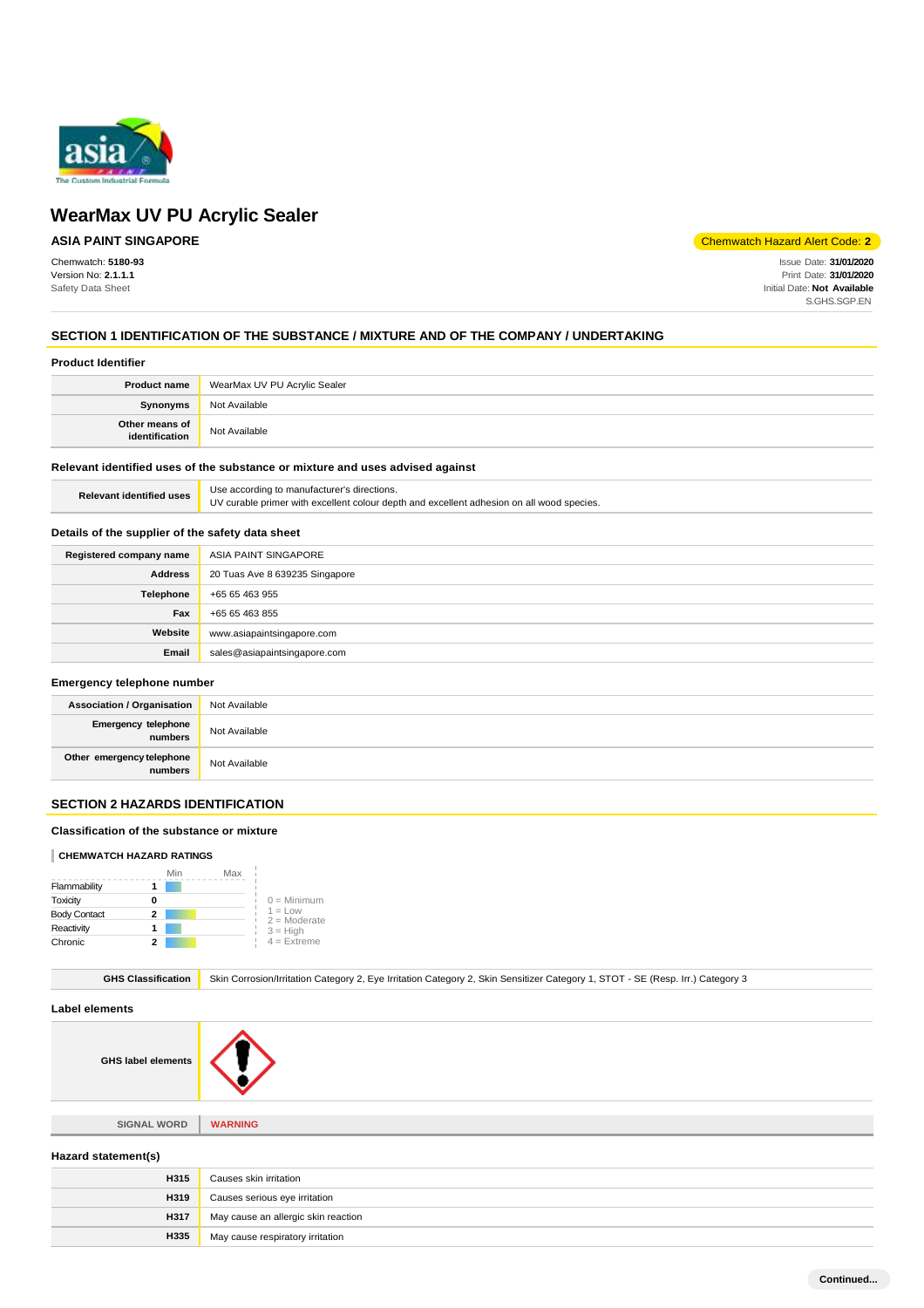

# **ASIA PAINT SINGAPORE**

Chemwatch: **5180-93** Version No: **2.1.1.1** Safety Data Sheet

Chemwatch Hazard Alert Code: **2**

Issue Date: **31/01/2020** Print Date: **31/01/2020** Initial Date: **Not Available** S.GHS.SGP.EN

# **SECTION 1 IDENTIFICATION OF THE SUBSTANCE / MIXTURE AND OF THE COMPANY / UNDERTAKING**

#### **Product Identifier**

| <b>Product name</b>              | WearMax UV PU Acrylic Sealer |
|----------------------------------|------------------------------|
| <b>Synonyms</b>                  | Not Available                |
| Other means of<br>identification | Not Available                |

### **Relevant identified uses of the substance or mixture and uses advised against**

| <b>Relevant identified uses</b> | Use according to manufacturer's directions.                                               |
|---------------------------------|-------------------------------------------------------------------------------------------|
|                                 | UV curable primer with excellent colour depth and excellent adhesion on all wood species. |

#### **Details of the supplier of the safety data sheet**

| Registered company name | ASIA PAINT SINGAPORE           |
|-------------------------|--------------------------------|
| <b>Address</b>          | 20 Tuas Ave 8 639235 Singapore |
| Telephone               | +65 65 463 955                 |
| Fax                     | +65 65 463 855                 |
| Website                 | www.asiapaintsingapore.com     |
| Email                   | sales@asiapaintsingapore.com   |

#### **Emergency telephone number**

| <b>Association / Organisation</b>               | Not Available |
|-------------------------------------------------|---------------|
| Emergency telephone<br>numbers<br>Not Available |               |
| Other emergency telephone<br>numbers            | Not Available |

# **SECTION 2 HAZARDS IDENTIFICATION**

#### **Classification of the substance or mixture**

#### **CHEMWATCH HAZARD RATINGS**

|                     | Min | Max |                             |
|---------------------|-----|-----|-----------------------------|
| Flammability        |     |     |                             |
| Toxicity            |     |     | $0 =$ Minimum               |
| <b>Body Contact</b> | 2   |     | $1 = Low$<br>$2 =$ Moderate |
| Reactivity          |     |     | $3 = High$                  |
| Chronic             | 2   |     | $4 =$ Extreme               |

GHS Classification Skin Corrosion/Irritation Category 2, Eye Irritation Category 2, Skin Sensitizer Category 1, STOT - SE (Resp. Irr.) Category 3

#### **Label elements**

**GHS label elements**



**SIGNAL WORD WARNING**

#### **Hazard statement(s)**

| <b>H315</b> | Causes skin irritation              |
|-------------|-------------------------------------|
| H319        | Causes serious eye irritation       |
| H317        | May cause an allergic skin reaction |
| H335        | May cause respiratory irritation    |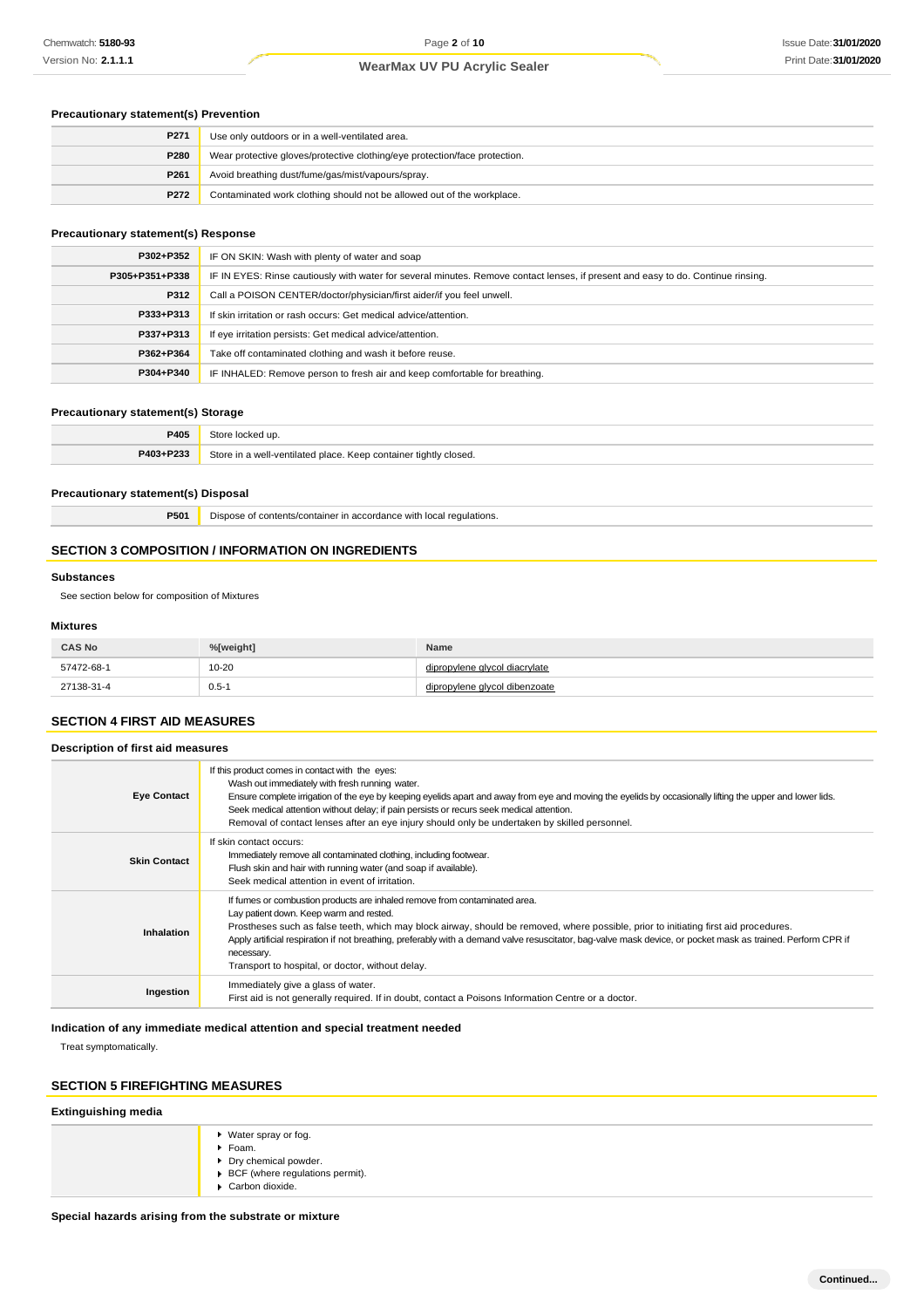#### **Precautionary statement(s) Prevention**

| P271 | Use only outdoors or in a well-ventilated area.                            |
|------|----------------------------------------------------------------------------|
| P280 | Wear protective gloves/protective clothing/eye protection/face protection. |
| P261 | Avoid breathing dust/fume/gas/mist/vapours/spray.                          |
| P272 | Contaminated work clothing should not be allowed out of the workplace.     |

#### **Precautionary statement(s) Response**

| P302+P352      | IF ON SKIN: Wash with plenty of water and soap                                                                                   |  |
|----------------|----------------------------------------------------------------------------------------------------------------------------------|--|
| P305+P351+P338 | IF IN EYES: Rinse cautiously with water for several minutes. Remove contact lenses, if present and easy to do. Continue rinsing. |  |
| P312           | Call a POISON CENTER/doctor/physician/first aider/if you feel unwell.                                                            |  |
| P333+P313      | If skin irritation or rash occurs: Get medical advice/attention.                                                                 |  |
| P337+P313      | If eye irritation persists: Get medical advice/attention.                                                                        |  |
| P362+P364      | Take off contaminated clothing and wash it before reuse.                                                                         |  |
| P304+P340      | IF INHALED: Remove person to fresh air and keep comfortable for breathing.                                                       |  |

#### **Precautionary statement(s) Storage**

| P405      | $_{7}$ torc<br>≅locked up.                                       |
|-----------|------------------------------------------------------------------|
| P403+P233 | Store in a well-ventilated place. Keep container tightly closed. |

#### **Precautionary statement(s) Disposal**

**P501** Dispose of contents/container in accordance with local regulations.

#### **SECTION 3 COMPOSITION / INFORMATION ON INGREDIENTS**

#### **Substances**

See section below for composition of Mixtures

#### **Mixtures**

| <b>CAS No</b> | %[weight] | Name                    |
|---------------|-----------|-------------------------|
| 57472-68-1    | $10 - 20$ | vlene alvcol diacrvlate |
| 27138-31-4    | $0.5 - 1$ | vlene alvcol dibenzoate |

## **SECTION 4 FIRST AID MEASURES**

**Description of first aid measures**

| <b>Eye Contact</b>  | If this product comes in contact with the eyes:<br>Wash out immediately with fresh running water.<br>Ensure complete irrigation of the eye by keeping eyelids apart and away from eye and moving the eyelids by occasionally lifting the upper and lower lids.<br>Seek medical attention without delay; if pain persists or recurs seek medical attention.<br>Removal of contact lenses after an eye injury should only be undertaken by skilled personnel.                                      |
|---------------------|--------------------------------------------------------------------------------------------------------------------------------------------------------------------------------------------------------------------------------------------------------------------------------------------------------------------------------------------------------------------------------------------------------------------------------------------------------------------------------------------------|
| <b>Skin Contact</b> | If skin contact occurs:<br>Immediately remove all contaminated clothing, including footwear.<br>Flush skin and hair with running water (and soap if available).<br>Seek medical attention in event of irritation.                                                                                                                                                                                                                                                                                |
| <b>Inhalation</b>   | If furnes or combustion products are inhaled remove from contaminated area.<br>Lay patient down. Keep warm and rested.<br>Prostheses such as false teeth, which may block airway, should be removed, where possible, prior to initiating first aid procedures.<br>Apply artificial respiration if not breathing, preferably with a demand valve resuscitator, bag-valve mask device, or pocket mask as trained. Perform CPR if<br>necessary.<br>Transport to hospital, or doctor, without delay. |
| Ingestion           | Immediately give a glass of water.<br>First aid is not generally required. If in doubt, contact a Poisons Information Centre or a doctor.                                                                                                                                                                                                                                                                                                                                                        |

### **Indication of any immediate medical attention and special treatment needed**

Treat symptomatically.

# **SECTION 5 FIREFIGHTING MEASURES**

# **Extinguishing media**

| ▶ Water spray or fog.<br>Foam.<br>▶ Dry chemical powder.<br>▶ BCF (where regulations permit).<br>Carbon dioxide. |
|------------------------------------------------------------------------------------------------------------------|
|------------------------------------------------------------------------------------------------------------------|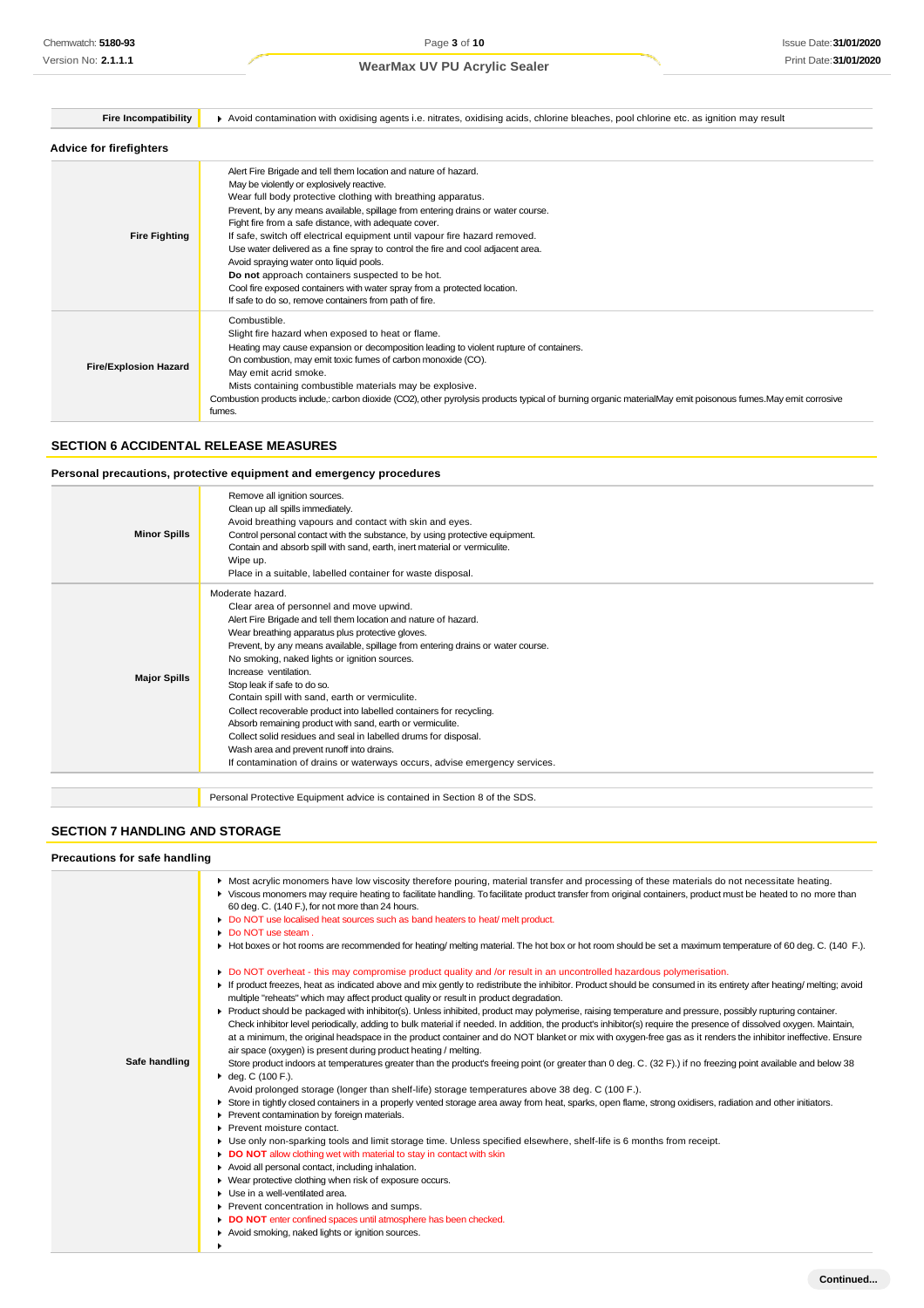| <b>Fire Incompatibility</b>    | Avoid contamination with oxidising agents i.e. nitrates, oxidising acids, chlorine bleaches, pool chlorine etc. as ignition may result                                                                                                                                                                                                                                                                                                                                                                                                                                                                                                                                                                                        |
|--------------------------------|-------------------------------------------------------------------------------------------------------------------------------------------------------------------------------------------------------------------------------------------------------------------------------------------------------------------------------------------------------------------------------------------------------------------------------------------------------------------------------------------------------------------------------------------------------------------------------------------------------------------------------------------------------------------------------------------------------------------------------|
| <b>Advice for firefighters</b> |                                                                                                                                                                                                                                                                                                                                                                                                                                                                                                                                                                                                                                                                                                                               |
| <b>Fire Fighting</b>           | Alert Fire Brigade and tell them location and nature of hazard.<br>May be violently or explosively reactive.<br>Wear full body protective clothing with breathing apparatus.<br>Prevent, by any means available, spillage from entering drains or water course.<br>Fight fire from a safe distance, with adequate cover.<br>If safe, switch off electrical equipment until vapour fire hazard removed.<br>Use water delivered as a fine spray to control the fire and cool adjacent area.<br>Avoid spraying water onto liquid pools.<br>Do not approach containers suspected to be hot.<br>Cool fire exposed containers with water spray from a protected location.<br>If safe to do so, remove containers from path of fire. |
| <b>Fire/Explosion Hazard</b>   | Combustible.<br>Slight fire hazard when exposed to heat or flame.<br>Heating may cause expansion or decomposition leading to violent rupture of containers.<br>On combustion, may emit toxic fumes of carbon monoxide (CO).<br>May emit acrid smoke.<br>Mists containing combustible materials may be explosive.<br>Combustion products include, carbon dioxide (CO2), other pyrolysis products typical of burning organic materialMay emit poisonous fumes. May emit corrosive<br>fumes.                                                                                                                                                                                                                                     |

# **SECTION 6 ACCIDENTAL RELEASE MEASURES**

### **Personal precautions, protective equipment and emergency procedures**

| <b>Minor Spills</b> | Remove all ignition sources.<br>Clean up all spills immediately.<br>Avoid breathing vapours and contact with skin and eyes.<br>Control personal contact with the substance, by using protective equipment.<br>Contain and absorb spill with sand, earth, inert material or vermiculite.<br>Wipe up.<br>Place in a suitable, labelled container for waste disposal.                                                                                                                                                                                                                                                                                                                                                                                                  |
|---------------------|---------------------------------------------------------------------------------------------------------------------------------------------------------------------------------------------------------------------------------------------------------------------------------------------------------------------------------------------------------------------------------------------------------------------------------------------------------------------------------------------------------------------------------------------------------------------------------------------------------------------------------------------------------------------------------------------------------------------------------------------------------------------|
| <b>Major Spills</b> | Moderate hazard.<br>Clear area of personnel and move upwind.<br>Alert Fire Brigade and tell them location and nature of hazard.<br>Wear breathing apparatus plus protective gloves.<br>Prevent, by any means available, spillage from entering drains or water course.<br>No smoking, naked lights or ignition sources.<br>Increase ventilation.<br>Stop leak if safe to do so.<br>Contain spill with sand, earth or vermiculite.<br>Collect recoverable product into labelled containers for recycling.<br>Absorb remaining product with sand, earth or vermiculite.<br>Collect solid residues and seal in labelled drums for disposal.<br>Wash area and prevent runoff into drains.<br>If contamination of drains or waterways occurs, advise emergency services. |
|                     |                                                                                                                                                                                                                                                                                                                                                                                                                                                                                                                                                                                                                                                                                                                                                                     |

Personal Protective Equipment advice is contained in Section 8 of the SDS.

# **SECTION 7 HANDLING AND STORAGE**

#### **Precautions for safe handling**

|               | • Most acrylic monomers have low viscosity therefore pouring, material transfer and processing of these materials do not necessitate heating.<br>▶ Viscous monomers may require heating to facilitate handling. To facilitate product transfer from original containers, product must be heated to no more than<br>60 deg. C. (140 F.), for not more than 24 hours.<br>Do NOT use localised heat sources such as band heaters to heat/ melt product.<br>• Do NOT use steam.                                                                                                                                                                                                                                                                                                                                                                                                                                                                                                                                                                                                                                                                                                                                                                                                                                                                                                                                                                                                                                                                                                                                                                                                                                                                                                                                                                                                                                                                                                                                                    |
|---------------|--------------------------------------------------------------------------------------------------------------------------------------------------------------------------------------------------------------------------------------------------------------------------------------------------------------------------------------------------------------------------------------------------------------------------------------------------------------------------------------------------------------------------------------------------------------------------------------------------------------------------------------------------------------------------------------------------------------------------------------------------------------------------------------------------------------------------------------------------------------------------------------------------------------------------------------------------------------------------------------------------------------------------------------------------------------------------------------------------------------------------------------------------------------------------------------------------------------------------------------------------------------------------------------------------------------------------------------------------------------------------------------------------------------------------------------------------------------------------------------------------------------------------------------------------------------------------------------------------------------------------------------------------------------------------------------------------------------------------------------------------------------------------------------------------------------------------------------------------------------------------------------------------------------------------------------------------------------------------------------------------------------------------------|
|               | Hot boxes or hot rooms are recommended for heating/melting material. The hot box or hot room should be set a maximum temperature of 60 deg. C. (140 F.).                                                                                                                                                                                                                                                                                                                                                                                                                                                                                                                                                                                                                                                                                                                                                                                                                                                                                                                                                                                                                                                                                                                                                                                                                                                                                                                                                                                                                                                                                                                                                                                                                                                                                                                                                                                                                                                                       |
| Safe handling | Do NOT overheat - this may compromise product quality and /or result in an uncontrolled hazardous polymerisation.<br>If product freezes, heat as indicated above and mix gently to redistribute the inhibitor. Product should be consumed in its entirety after heating/ melting; avoid<br>multiple "reheats" which may affect product quality or result in product degradation.<br>▶ Product should be packaged with inhibitor(s). Unless inhibited, product may polymerise, raising temperature and pressure, possibly rupturing container.<br>Check inhibitor level periodically, adding to bulk material if needed. In addition, the product's inhibitor(s) require the presence of dissolved oxygen. Maintain,<br>at a minimum, the original headspace in the product container and do NOT blanket or mix with oxygen-free gas as it renders the inhibitor ineffective. Ensure<br>air space (oxygen) is present during product heating / melting.<br>Store product indoors at temperatures greater than the product's freeing point (or greater than 0 deg. C. (32 F).) if no freezing point available and below 38<br>• deg. C (100 F.).<br>Avoid prolonged storage (longer than shelf-life) storage temperatures above 38 deg. C (100 F.).<br>Store in tightly closed containers in a properly vented storage area away from heat, sparks, open flame, strong oxidisers, radiation and other initiators.<br>Prevent contamination by foreign materials.<br>Prevent moisture contact.<br>Use only non-sparking tools and limit storage time. Unless specified elsewhere, shelf-life is 6 months from receipt.<br>٠<br>DO NOT allow clothing wet with material to stay in contact with skin<br>Avoid all personal contact, including inhalation.<br>• Wear protective clothing when risk of exposure occurs.<br>Use in a well-ventilated area.<br>٠<br>Prevent concentration in hollows and sumps.<br>DO NOT enter confined spaces until atmosphere has been checked.<br>Avoid smoking, naked lights or ignition sources. |
|               |                                                                                                                                                                                                                                                                                                                                                                                                                                                                                                                                                                                                                                                                                                                                                                                                                                                                                                                                                                                                                                                                                                                                                                                                                                                                                                                                                                                                                                                                                                                                                                                                                                                                                                                                                                                                                                                                                                                                                                                                                                |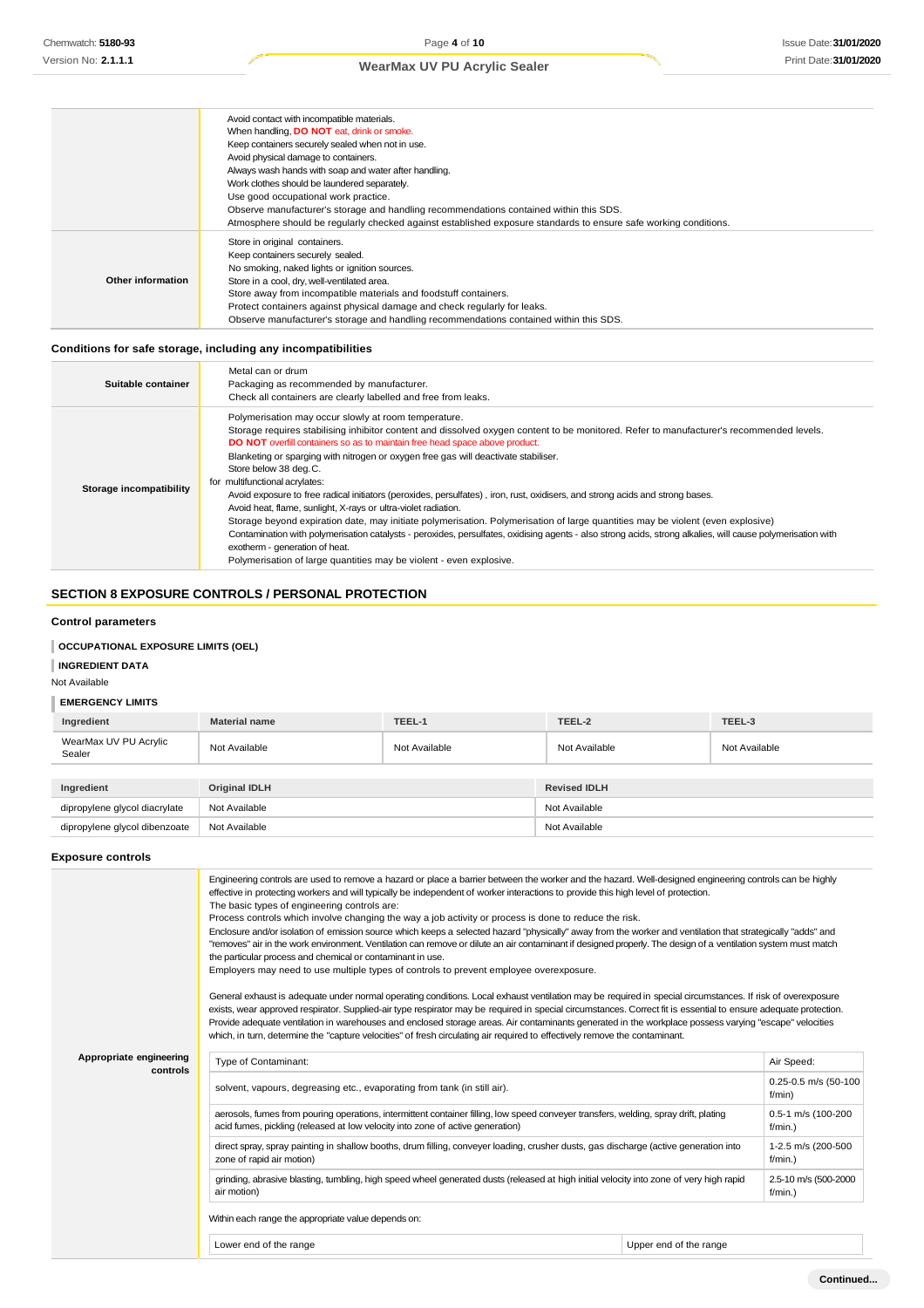|                   | Avoid contact with incompatible materials.                                                                       |
|-------------------|------------------------------------------------------------------------------------------------------------------|
|                   | When handling, DO NOT eat, drink or smoke.                                                                       |
|                   | Keep containers securely sealed when not in use.                                                                 |
|                   | Avoid physical damage to containers.                                                                             |
|                   | Always wash hands with soap and water after handling.                                                            |
|                   | Work clothes should be laundered separately.                                                                     |
|                   | Use good occupational work practice.                                                                             |
|                   | Observe manufacturer's storage and handling recommendations contained within this SDS.                           |
|                   | Atmosphere should be regularly checked against established exposure standards to ensure safe working conditions. |
|                   | Store in original containers.                                                                                    |
|                   | Keep containers securely sealed.                                                                                 |
|                   | No smoking, naked lights or ignition sources.                                                                    |
| Other information | Store in a cool, dry, well-ventilated area.                                                                      |
|                   | Store away from incompatible materials and foodstuff containers.                                                 |
|                   | Protect containers against physical damage and check regularly for leaks.                                        |
|                   | Observe manufacturer's storage and handling recommendations contained within this SDS.                           |

# **Conditions for safe storage, including any incompatibilities**

| Suitable container      | Metal can or drum<br>Packaging as recommended by manufacturer.<br>Check all containers are clearly labelled and free from leaks.                                                                                                                                                                                                                                                                                                                                                                                                                                                                                                                                                                                                                                                                                                                                                                                                                                                                                                                |
|-------------------------|-------------------------------------------------------------------------------------------------------------------------------------------------------------------------------------------------------------------------------------------------------------------------------------------------------------------------------------------------------------------------------------------------------------------------------------------------------------------------------------------------------------------------------------------------------------------------------------------------------------------------------------------------------------------------------------------------------------------------------------------------------------------------------------------------------------------------------------------------------------------------------------------------------------------------------------------------------------------------------------------------------------------------------------------------|
| Storage incompatibility | Polymerisation may occur slowly at room temperature.<br>Storage requires stabilising inhibitor content and dissolved oxygen content to be monitored. Refer to manufacturer's recommended levels.<br>DO NOT overfill containers so as to maintain free head space above product.<br>Blanketing or sparging with nitrogen or oxygen free gas will deactivate stabiliser.<br>Store below 38 deg.C.<br>for multifunctional acrylates:<br>Avoid exposure to free radical initiators (peroxides, persulfates), iron, rust, oxidisers, and strong acids and strong bases.<br>Avoid heat, flame, sunlight, X-rays or ultra-violet radiation.<br>Storage beyond expiration date, may initiate polymerisation. Polymerisation of large quantities may be violent (even explosive)<br>Contamination with polymerisation catalysts - peroxides, persulfates, oxidising agents - also strong acids, strong alkalies, will cause polymerisation with<br>exotherm - generation of heat.<br>Polymerisation of large quantities may be violent - even explosive. |

# **SECTION 8 EXPOSURE CONTROLS / PERSONAL PROTECTION**

#### **Control parameters**

### **OCCUPATIONAL EXPOSURE LIMITS (OEL)**

#### **INGREDIENT DATA**

Not Available

# **EMERGENCY LIMITS**

| Ingredient                      | <b>Material name</b> | TEEL-1        | TEEL-2              | TEEL-3        |  |
|---------------------------------|----------------------|---------------|---------------------|---------------|--|
| WearMax UV PU Acrylic<br>Sealer | Not Available        | Not Available | Not Available       | Not Available |  |
|                                 |                      |               |                     |               |  |
| Ingredient                      | Original IDLH        |               | <b>Revised IDLH</b> |               |  |
| dipropylene glycol diacrylate   | Not Available        |               | Not Available       |               |  |
| dipropylene glycol dibenzoate   | Not Available        |               |                     | Not Available |  |

### **Exposure controls**

|                                     | Engineering controls are used to remove a hazard or place a barrier between the worker and the hazard. Well-designed engineering controls can be highly<br>effective in protecting workers and will typically be independent of worker interactions to provide this high level of protection.<br>The basic types of engineering controls are:<br>Process controls which involve changing the way a job activity or process is done to reduce the risk.<br>Enclosure and/or isolation of emission source which keeps a selected hazard "physically" away from the worker and ventilation that strategically "adds" and<br>"removes" air in the work environment. Ventilation can remove or dilute an air contaminant if designed properly. The design of a ventilation system must match<br>the particular process and chemical or contaminant in use.<br>Employers may need to use multiple types of controls to prevent employee overexposure.<br>General exhaust is adequate under normal operating conditions. Local exhaust ventilation may be required in special circumstances. If risk of overexposure<br>exists, wear approved respirator. Supplied-air type respirator may be required in special circumstances. Correct fit is essential to ensure adequate protection.<br>Provide adequate ventilation in warehouses and enclosed storage areas. Air contaminants generated in the workplace possess varying "escape" velocities<br>which, in turn, determine the "capture velocities" of fresh circulating air required to effectively remove the contaminant. |                        |                                    |
|-------------------------------------|----------------------------------------------------------------------------------------------------------------------------------------------------------------------------------------------------------------------------------------------------------------------------------------------------------------------------------------------------------------------------------------------------------------------------------------------------------------------------------------------------------------------------------------------------------------------------------------------------------------------------------------------------------------------------------------------------------------------------------------------------------------------------------------------------------------------------------------------------------------------------------------------------------------------------------------------------------------------------------------------------------------------------------------------------------------------------------------------------------------------------------------------------------------------------------------------------------------------------------------------------------------------------------------------------------------------------------------------------------------------------------------------------------------------------------------------------------------------------------------------------------------------------------------------------------------------------|------------------------|------------------------------------|
| Appropriate engineering<br>controls | Type of Contaminant:                                                                                                                                                                                                                                                                                                                                                                                                                                                                                                                                                                                                                                                                                                                                                                                                                                                                                                                                                                                                                                                                                                                                                                                                                                                                                                                                                                                                                                                                                                                                                       |                        | Air Speed:                         |
|                                     | solvent, vapours, degreasing etc., evaporating from tank (in still air).                                                                                                                                                                                                                                                                                                                                                                                                                                                                                                                                                                                                                                                                                                                                                                                                                                                                                                                                                                                                                                                                                                                                                                                                                                                                                                                                                                                                                                                                                                   |                        | 0.25-0.5 m/s (50-100<br>f/min)     |
|                                     | aerosols, fumes from pouring operations, intermittent container filling, low speed conveyer transfers, welding, spray drift, plating<br>acid fumes, pickling (released at low velocity into zone of active generation)                                                                                                                                                                                                                                                                                                                                                                                                                                                                                                                                                                                                                                                                                                                                                                                                                                                                                                                                                                                                                                                                                                                                                                                                                                                                                                                                                     |                        | 0.5-1 m/s (100-200<br>$f/min.$ )   |
|                                     | direct spray, spray painting in shallow booths, drum filling, conveyer loading, crusher dusts, gas discharge (active generation into<br>zone of rapid air motion)                                                                                                                                                                                                                                                                                                                                                                                                                                                                                                                                                                                                                                                                                                                                                                                                                                                                                                                                                                                                                                                                                                                                                                                                                                                                                                                                                                                                          |                        | 1-2.5 m/s (200-500<br>$f/min.$ )   |
|                                     | grinding, abrasive blasting, tumbling, high speed wheel generated dusts (released at high initial velocity into zone of very high rapid<br>air motion)                                                                                                                                                                                                                                                                                                                                                                                                                                                                                                                                                                                                                                                                                                                                                                                                                                                                                                                                                                                                                                                                                                                                                                                                                                                                                                                                                                                                                     |                        | 2.5-10 m/s (500-2000<br>$f/min.$ ) |
|                                     | Within each range the appropriate value depends on:                                                                                                                                                                                                                                                                                                                                                                                                                                                                                                                                                                                                                                                                                                                                                                                                                                                                                                                                                                                                                                                                                                                                                                                                                                                                                                                                                                                                                                                                                                                        |                        |                                    |
|                                     | Lower end of the range                                                                                                                                                                                                                                                                                                                                                                                                                                                                                                                                                                                                                                                                                                                                                                                                                                                                                                                                                                                                                                                                                                                                                                                                                                                                                                                                                                                                                                                                                                                                                     | Upper end of the range |                                    |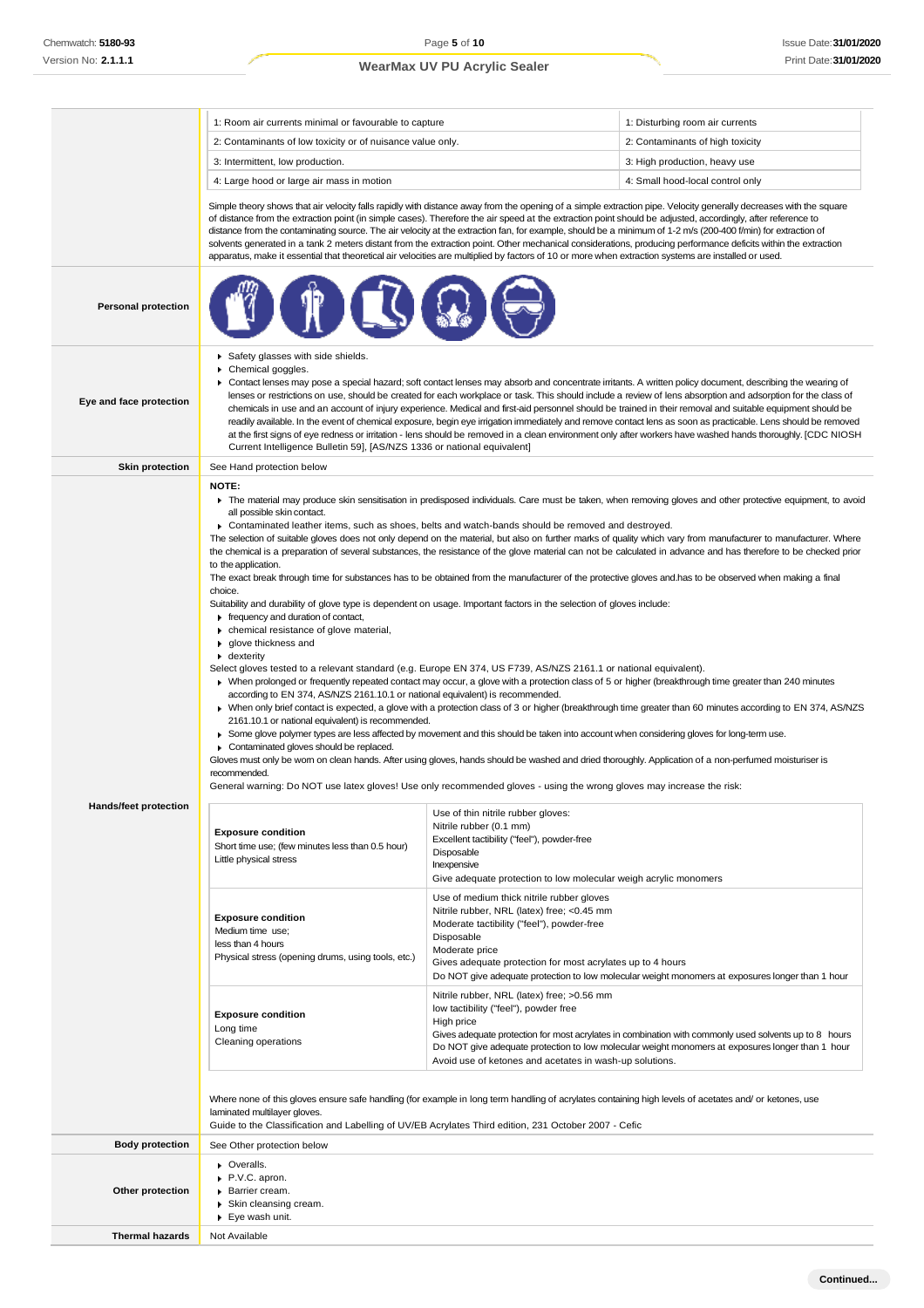|                              | 1: Room air currents minimal or favourable to capture                                                                                                                                                                                                                                                                                                                                                                                                                                                                                                                                                                                                                                                                                                                                                                                                                                                                                                                                                                                                                                                                                                                                                                                                                                                                                                                                                                                                                                                                                                                                                                                                                                                                                                                                                                                                                                                                                                                                                                                                                                                                                                                                |                                                                                                                                                                                                                                     | 1: Disturbing room air currents                                                                                                                                                                           |
|------------------------------|--------------------------------------------------------------------------------------------------------------------------------------------------------------------------------------------------------------------------------------------------------------------------------------------------------------------------------------------------------------------------------------------------------------------------------------------------------------------------------------------------------------------------------------------------------------------------------------------------------------------------------------------------------------------------------------------------------------------------------------------------------------------------------------------------------------------------------------------------------------------------------------------------------------------------------------------------------------------------------------------------------------------------------------------------------------------------------------------------------------------------------------------------------------------------------------------------------------------------------------------------------------------------------------------------------------------------------------------------------------------------------------------------------------------------------------------------------------------------------------------------------------------------------------------------------------------------------------------------------------------------------------------------------------------------------------------------------------------------------------------------------------------------------------------------------------------------------------------------------------------------------------------------------------------------------------------------------------------------------------------------------------------------------------------------------------------------------------------------------------------------------------------------------------------------------------|-------------------------------------------------------------------------------------------------------------------------------------------------------------------------------------------------------------------------------------|-----------------------------------------------------------------------------------------------------------------------------------------------------------------------------------------------------------|
|                              | 2: Contaminants of low toxicity or of nuisance value only.                                                                                                                                                                                                                                                                                                                                                                                                                                                                                                                                                                                                                                                                                                                                                                                                                                                                                                                                                                                                                                                                                                                                                                                                                                                                                                                                                                                                                                                                                                                                                                                                                                                                                                                                                                                                                                                                                                                                                                                                                                                                                                                           |                                                                                                                                                                                                                                     | 2: Contaminants of high toxicity                                                                                                                                                                          |
|                              | 3: Intermittent, low production.                                                                                                                                                                                                                                                                                                                                                                                                                                                                                                                                                                                                                                                                                                                                                                                                                                                                                                                                                                                                                                                                                                                                                                                                                                                                                                                                                                                                                                                                                                                                                                                                                                                                                                                                                                                                                                                                                                                                                                                                                                                                                                                                                     |                                                                                                                                                                                                                                     | 3: High production, heavy use                                                                                                                                                                             |
|                              | 4: Large hood or large air mass in motion                                                                                                                                                                                                                                                                                                                                                                                                                                                                                                                                                                                                                                                                                                                                                                                                                                                                                                                                                                                                                                                                                                                                                                                                                                                                                                                                                                                                                                                                                                                                                                                                                                                                                                                                                                                                                                                                                                                                                                                                                                                                                                                                            |                                                                                                                                                                                                                                     | 4: Small hood-local control only                                                                                                                                                                          |
|                              | Simple theory shows that air velocity falls rapidly with distance away from the opening of a simple extraction pipe. Velocity generally decreases with the square<br>of distance from the extraction point (in simple cases). Therefore the air speed at the extraction point should be adjusted, accordingly, after reference to<br>distance from the contaminating source. The air velocity at the extraction fan, for example, should be a minimum of 1-2 m/s (200-400 f/min) for extraction of<br>solvents generated in a tank 2 meters distant from the extraction point. Other mechanical considerations, producing performance deficits within the extraction<br>apparatus, make it essential that theoretical air velocities are multiplied by factors of 10 or more when extraction systems are installed or used.                                                                                                                                                                                                                                                                                                                                                                                                                                                                                                                                                                                                                                                                                                                                                                                                                                                                                                                                                                                                                                                                                                                                                                                                                                                                                                                                                          |                                                                                                                                                                                                                                     |                                                                                                                                                                                                           |
| <b>Personal protection</b>   |                                                                                                                                                                                                                                                                                                                                                                                                                                                                                                                                                                                                                                                                                                                                                                                                                                                                                                                                                                                                                                                                                                                                                                                                                                                                                                                                                                                                                                                                                                                                                                                                                                                                                                                                                                                                                                                                                                                                                                                                                                                                                                                                                                                      |                                                                                                                                                                                                                                     |                                                                                                                                                                                                           |
| Eye and face protection      | Safety glasses with side shields.<br>Chemical goggles.<br>▶ Contact lenses may pose a special hazard; soft contact lenses may absorb and concentrate irritants. A written policy document, describing the wearing of<br>lenses or restrictions on use, should be created for each workplace or task. This should include a review of lens absorption and adsorption for the class of<br>chemicals in use and an account of injury experience. Medical and first-aid personnel should be trained in their removal and suitable equipment should be<br>readily available. In the event of chemical exposure, begin eye irrigation immediately and remove contact lens as soon as practicable. Lens should be removed<br>at the first signs of eye redness or irritation - lens should be removed in a clean environment only after workers have washed hands thoroughly. [CDC NIOSH<br>Current Intelligence Bulletin 59], [AS/NZS 1336 or national equivalent]                                                                                                                                                                                                                                                                                                                                                                                                                                                                                                                                                                                                                                                                                                                                                                                                                                                                                                                                                                                                                                                                                                                                                                                                                         |                                                                                                                                                                                                                                     |                                                                                                                                                                                                           |
| <b>Skin protection</b>       | See Hand protection below                                                                                                                                                                                                                                                                                                                                                                                                                                                                                                                                                                                                                                                                                                                                                                                                                                                                                                                                                                                                                                                                                                                                                                                                                                                                                                                                                                                                                                                                                                                                                                                                                                                                                                                                                                                                                                                                                                                                                                                                                                                                                                                                                            |                                                                                                                                                                                                                                     |                                                                                                                                                                                                           |
| <b>Hands/feet protection</b> | NOTE:<br>The material may produce skin sensitisation in predisposed individuals. Care must be taken, when removing gloves and other protective equipment, to avoid<br>all possible skin contact.<br>▶ Contaminated leather items, such as shoes, belts and watch-bands should be removed and destroyed.<br>The selection of suitable gloves does not only depend on the material, but also on further marks of quality which vary from manufacturer to manufacturer. Where<br>the chemical is a preparation of several substances, the resistance of the glove material can not be calculated in advance and has therefore to be checked prior<br>to the application.<br>The exact break through time for substances has to be obtained from the manufacturer of the protective gloves and has to be observed when making a final<br>choice.<br>Suitability and durability of glove type is dependent on usage. Important factors in the selection of gloves include:<br>F frequency and duration of contact,<br>chemical resistance of glove material,<br>▶ glove thickness and<br>$\bullet$ dexterity<br>Select gloves tested to a relevant standard (e.g. Europe EN 374, US F739, AS/NZS 2161.1 or national equivalent).<br>• When prolonged or frequently repeated contact may occur, a glove with a protection class of 5 or higher (breakthrough time greater than 240 minutes<br>according to EN 374, AS/NZS 2161.10.1 or national equivalent) is recommended.<br>> When only brief contact is expected, a glove with a protection class of 3 or higher (breakthrough time greater than 60 minutes according to EN 374, AS/NZS<br>2161.10.1 or national equivalent) is recommended.<br>► Some glove polymer types are less affected by movement and this should be taken into account when considering gloves for long-term use.<br>Contaminated gloves should be replaced.<br>Gloves must only be wom on clean hands. After using gloves, hands should be washed and dried thoroughly. Application of a non-perfumed moisturiser is<br>recommended.<br>General warning: Do NOT use latex gloves! Use only recommended gloves - using the wrong gloves may increase the risk: |                                                                                                                                                                                                                                     |                                                                                                                                                                                                           |
|                              | <b>Exposure condition</b><br>Short time use; (few minutes less than 0.5 hour)<br>Little physical stress                                                                                                                                                                                                                                                                                                                                                                                                                                                                                                                                                                                                                                                                                                                                                                                                                                                                                                                                                                                                                                                                                                                                                                                                                                                                                                                                                                                                                                                                                                                                                                                                                                                                                                                                                                                                                                                                                                                                                                                                                                                                              | Use of thin nitrile rubber gloves:<br>Nitrile rubber (0.1 mm)<br>Excellent tactibility ("feel"), powder-free<br>Disposable<br>Inexpensive<br>Give adequate protection to low molecular weigh acrylic monomers                       |                                                                                                                                                                                                           |
|                              | <b>Exposure condition</b><br>Medium time use;<br>less than 4 hours<br>Physical stress (opening drums, using tools, etc.)                                                                                                                                                                                                                                                                                                                                                                                                                                                                                                                                                                                                                                                                                                                                                                                                                                                                                                                                                                                                                                                                                                                                                                                                                                                                                                                                                                                                                                                                                                                                                                                                                                                                                                                                                                                                                                                                                                                                                                                                                                                             | Use of medium thick nitrile rubber gloves<br>Nitrile rubber, NRL (latex) free; <0.45 mm<br>Moderate tactibility ("feel"), powder-free<br>Disposable<br>Moderate price<br>Gives adequate protection for most acrylates up to 4 hours | Do NOT give adequate protection to low molecular weight monomers at exposures longer than 1 hour                                                                                                          |
|                              | <b>Exposure condition</b><br>Long time<br>Cleaning operations                                                                                                                                                                                                                                                                                                                                                                                                                                                                                                                                                                                                                                                                                                                                                                                                                                                                                                                                                                                                                                                                                                                                                                                                                                                                                                                                                                                                                                                                                                                                                                                                                                                                                                                                                                                                                                                                                                                                                                                                                                                                                                                        | Nitrile rubber, NRL (latex) free; >0.56 mm<br>low tactibility ("feel"), powder free<br>High price<br>Avoid use of ketones and acetates in wash-up solutions.                                                                        | Gives adequate protection for most acrylates in combination with commonly used solvents up to 8 hours<br>Do NOT give adequate protection to low molecular weight monomers at exposures longer than 1 hour |
|                              | Where none of this gloves ensure safe handling (for example in long term handling of acrylates containing high levels of acetates and/ or ketones, use<br>laminated multilayer gloves.<br>Guide to the Classification and Labelling of UV/EB Acrylates Third edition, 231 October 2007 - Cefic                                                                                                                                                                                                                                                                                                                                                                                                                                                                                                                                                                                                                                                                                                                                                                                                                                                                                                                                                                                                                                                                                                                                                                                                                                                                                                                                                                                                                                                                                                                                                                                                                                                                                                                                                                                                                                                                                       |                                                                                                                                                                                                                                     |                                                                                                                                                                                                           |
| <b>Body protection</b>       | See Other protection below                                                                                                                                                                                                                                                                                                                                                                                                                                                                                                                                                                                                                                                                                                                                                                                                                                                                                                                                                                                                                                                                                                                                                                                                                                                                                                                                                                                                                                                                                                                                                                                                                                                                                                                                                                                                                                                                                                                                                                                                                                                                                                                                                           |                                                                                                                                                                                                                                     |                                                                                                                                                                                                           |
| Other protection             | • Overalls.<br>P.V.C. apron.<br>Barrier cream.<br>Skin cleansing cream.<br>▶ Eye wash unit.                                                                                                                                                                                                                                                                                                                                                                                                                                                                                                                                                                                                                                                                                                                                                                                                                                                                                                                                                                                                                                                                                                                                                                                                                                                                                                                                                                                                                                                                                                                                                                                                                                                                                                                                                                                                                                                                                                                                                                                                                                                                                          |                                                                                                                                                                                                                                     |                                                                                                                                                                                                           |
| <b>Thermal hazards</b>       | Not Available                                                                                                                                                                                                                                                                                                                                                                                                                                                                                                                                                                                                                                                                                                                                                                                                                                                                                                                                                                                                                                                                                                                                                                                                                                                                                                                                                                                                                                                                                                                                                                                                                                                                                                                                                                                                                                                                                                                                                                                                                                                                                                                                                                        |                                                                                                                                                                                                                                     |                                                                                                                                                                                                           |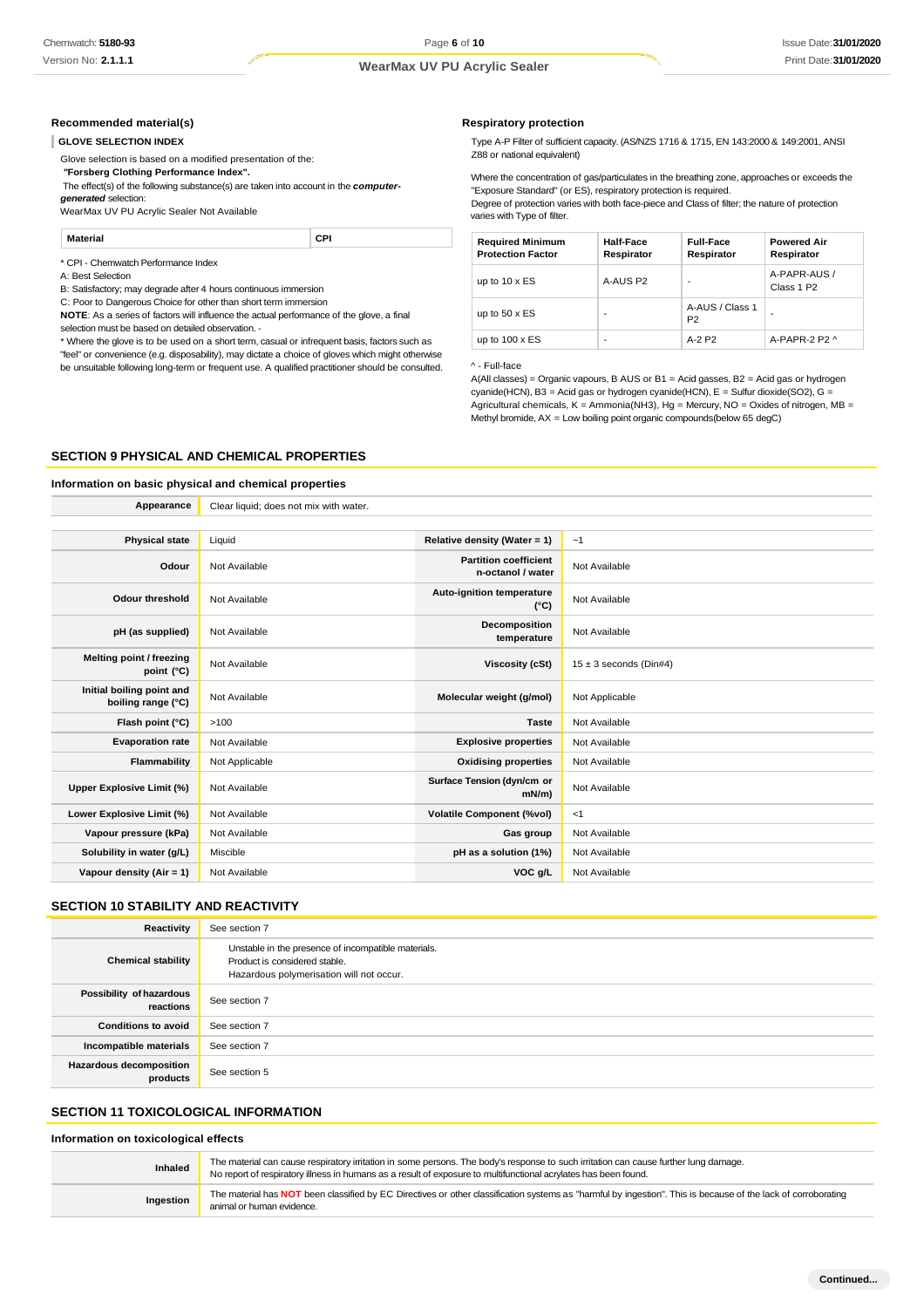#### **Recommended material(s)**

#### **GLOVE SELECTION INDEX**

Glove selection is based on a modified presentation of the:

*"***Forsberg Clothing Performance Index".**

The effect(s) of the following substance(s) are taken into account in the *computer-*

*generated* selection:

WearMax UV PU Acrylic Sealer Not Available

**Material CPI**

\* CPI - Chemwatch Performance Index

A: Best Selection

B: Satisfactory; may degrade after 4 hours continuous immersion

C: Poor to Dangerous Choice for other than short term immersion

**NOTE**: As a series of factors will influence the actual performance of the glove, a final selection must be based on detailed observation. -

\* Where the glove is to be used on a short term, casual or infrequent basis, factors such as "feel" or convenience (e.g. disposability), may dictate a choice of gloves which might otherwise be unsuitable following long-term or frequent use. A qualified practitioner should be consulted.

**Appearance** Clear liquid; does not mix with water.

#### **Respiratory protection**

Type A-P Filter of sufficient capacity. (AS/NZS 1716 & 1715, EN 143:2000 & 149:2001, ANSI Z88 or national equivalent)

Where the concentration of gas/particulates in the breathing zone, approaches or exceeds the "Exposure Standard" (or ES), respiratory protection is required.

Degree of protection varies with both face-piece and Class of filter; the nature of protection varies with Type of filter.

| <b>Required Minimum</b><br><b>Protection Factor</b> | Half-Face<br>Respirator  | <b>Full-Face</b><br>Respirator    | <b>Powered Air</b><br>Respirator       |
|-----------------------------------------------------|--------------------------|-----------------------------------|----------------------------------------|
| up to $10 \times ES$                                | A-AUS P2                 |                                   | A-PAPR-AUS /<br>Class 1 P <sub>2</sub> |
| up to $50 \times ES$                                |                          | A-AUS / Class 1<br>P <sub>2</sub> | -                                      |
| up to $100 \times ES$                               | $\overline{\phantom{0}}$ | $A-2P2$                           | A-PAPR-2 P2 ^                          |

^ - Full-face

A(All classes) = Organic vapours, B AUS or B1 = Acid gasses, B2 = Acid gas or hydrogen cyanide(HCN), B3 = Acid gas or hydrogen cyanide(HCN), E = Sulfur dioxide(SO2), G = Agricultural chemicals,  $K =$  Ammonia(NH3), Hg = Mercury, NO = Oxides of nitrogen, MB = Methyl bromide, AX = Low boiling point organic compounds(below 65 degC)

#### **SECTION 9 PHYSICAL AND CHEMICAL PROPERTIES**

# **Information on basic physical and chemical properties**

| <b>Physical state</b>                           | Liquid         | Relative density (Water = $1$ )                   | $-1$                       |
|-------------------------------------------------|----------------|---------------------------------------------------|----------------------------|
| Odour                                           | Not Available  | <b>Partition coefficient</b><br>n-octanol / water | Not Available              |
| <b>Odour threshold</b>                          | Not Available  | Auto-ignition temperature<br>$(^{\circ}C)$        | Not Available              |
| pH (as supplied)                                | Not Available  | Decomposition<br>temperature                      | Not Available              |
| Melting point / freezing<br>point $(^{\circ}C)$ | Not Available  | Viscosity (cSt)                                   | $15 \pm 3$ seconds (Din#4) |
| Initial boiling point and<br>boiling range (°C) | Not Available  | Molecular weight (g/mol)                          | Not Applicable             |
| Flash point (°C)                                | >100           | <b>Taste</b>                                      | Not Available              |
| <b>Evaporation rate</b>                         | Not Available  | <b>Explosive properties</b>                       | Not Available              |
| Flammability                                    | Not Applicable | <b>Oxidising properties</b>                       | Not Available              |
| Upper Explosive Limit (%)                       | Not Available  | Surface Tension (dyn/cm or<br>$mN/m$ )            | Not Available              |
| Lower Explosive Limit (%)                       | Not Available  | <b>Volatile Component (%vol)</b>                  | <1                         |
| Vapour pressure (kPa)                           | Not Available  | Gas group                                         | Not Available              |
| Solubility in water (g/L)                       | Miscible       | pH as a solution (1%)                             | Not Available              |
| Vapour density $(Air = 1)$                      | Not Available  | VOC g/L                                           | Not Available              |
|                                                 |                |                                                   |                            |

#### **SECTION 10 STABILITY AND REACTIVITY**

| Reactivity                                 | See section 7                                                                                                                    |
|--------------------------------------------|----------------------------------------------------------------------------------------------------------------------------------|
| <b>Chemical stability</b>                  | Unstable in the presence of incompatible materials.<br>Product is considered stable.<br>Hazardous polymerisation will not occur. |
| Possibility of hazardous<br>reactions      | See section 7                                                                                                                    |
| <b>Conditions to avoid</b>                 | See section 7                                                                                                                    |
| Incompatible materials                     | See section 7                                                                                                                    |
| <b>Hazardous decomposition</b><br>products | See section 5                                                                                                                    |

# **SECTION 11 TOXICOLOGICAL INFORMATION**

#### **Information on toxicological effects**

**Inhaled** The material can cause respiratory irritation in some persons. The body's response to such irritation can cause further lung damage. No report of respiratory illness in humans as a result of exposure to multifunctional acrylates has been found. **Ingestion** The material has **NOT** been classified by EC Directives or other classification systems as "harmful by ingestion". This is because of the lack of corroborating animal or human evidence.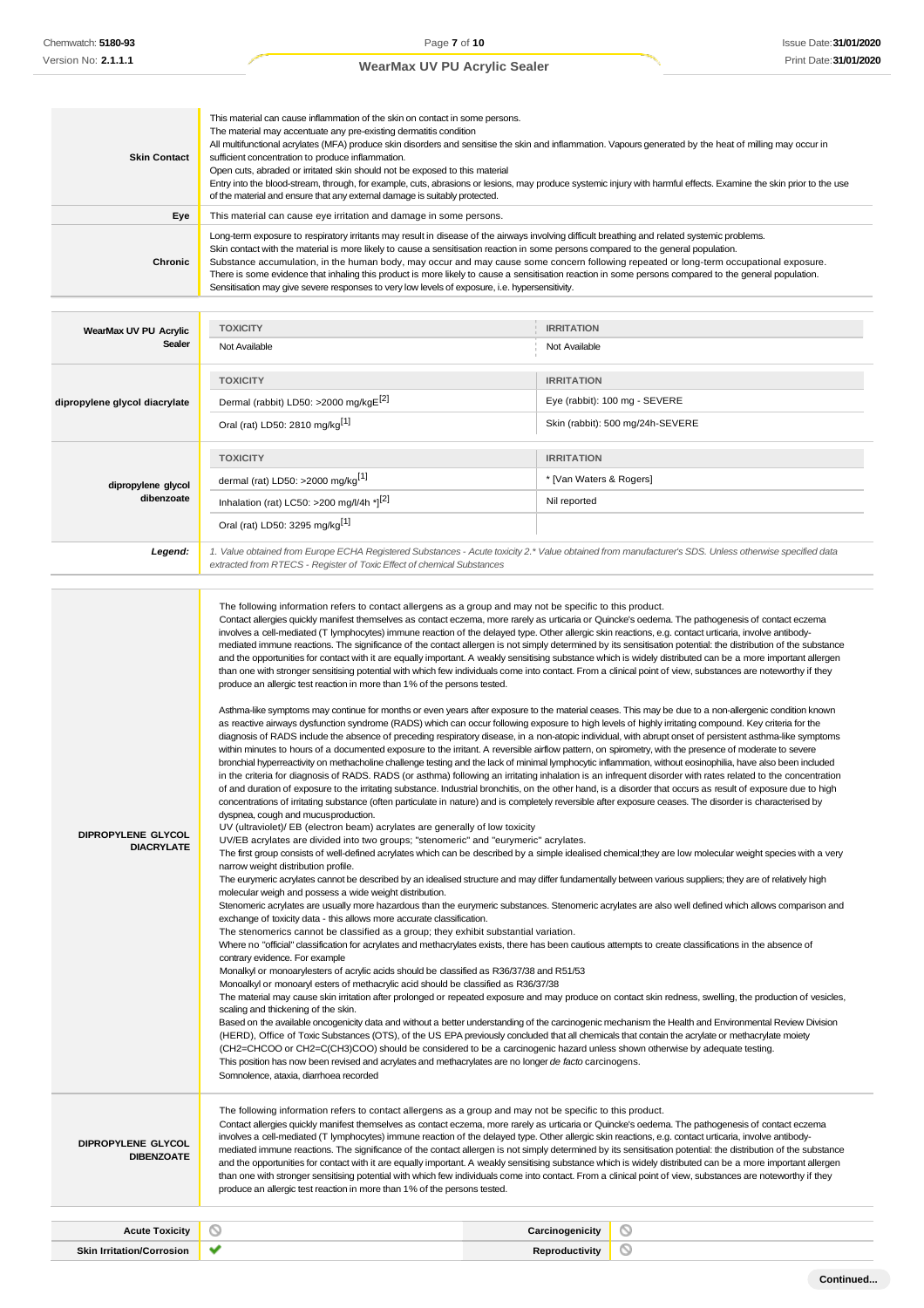| <b>Skin Contact</b>                     | This material can cause inflammation of the skin on contact in some persons.<br>The material may accentuate any pre-existing dermatitis condition<br>sufficient concentration to produce inflammation.<br>Open cuts, abraded or irritated skin should not be exposed to this material<br>of the material and ensure that any external damage is suitably protected.                                                                                                                                                                                                                                                                                                                                                                                                                                                    | All multifunctional acrylates (MFA) produce skin disorders and sensitise the skin and inflammation. Vapours generated by the heat of milling may occur in<br>Entry into the blood-stream, through, for example, cuts, abrasions or lesions, may produce systemic injury with harmful effects. Examine the skin prior to the use                                                                                                                                                                                                                                                                                                                                                                                                                                                                                                                                                                                                                                                                                                                                                                                                                                                                                                                                                                                                                                                                                                                                                                                                                                                                                                                                                                                                                                                                                                                                                                                                                                                                                                                                                                                                                                                                                                                                                                                                                                                                                                                                                                                                                                                                                                                                                                                                                               |
|-----------------------------------------|------------------------------------------------------------------------------------------------------------------------------------------------------------------------------------------------------------------------------------------------------------------------------------------------------------------------------------------------------------------------------------------------------------------------------------------------------------------------------------------------------------------------------------------------------------------------------------------------------------------------------------------------------------------------------------------------------------------------------------------------------------------------------------------------------------------------|---------------------------------------------------------------------------------------------------------------------------------------------------------------------------------------------------------------------------------------------------------------------------------------------------------------------------------------------------------------------------------------------------------------------------------------------------------------------------------------------------------------------------------------------------------------------------------------------------------------------------------------------------------------------------------------------------------------------------------------------------------------------------------------------------------------------------------------------------------------------------------------------------------------------------------------------------------------------------------------------------------------------------------------------------------------------------------------------------------------------------------------------------------------------------------------------------------------------------------------------------------------------------------------------------------------------------------------------------------------------------------------------------------------------------------------------------------------------------------------------------------------------------------------------------------------------------------------------------------------------------------------------------------------------------------------------------------------------------------------------------------------------------------------------------------------------------------------------------------------------------------------------------------------------------------------------------------------------------------------------------------------------------------------------------------------------------------------------------------------------------------------------------------------------------------------------------------------------------------------------------------------------------------------------------------------------------------------------------------------------------------------------------------------------------------------------------------------------------------------------------------------------------------------------------------------------------------------------------------------------------------------------------------------------------------------------------------------------------------------------------------------|
| Eye                                     | This material can cause eye irritation and damage in some persons.                                                                                                                                                                                                                                                                                                                                                                                                                                                                                                                                                                                                                                                                                                                                                     |                                                                                                                                                                                                                                                                                                                                                                                                                                                                                                                                                                                                                                                                                                                                                                                                                                                                                                                                                                                                                                                                                                                                                                                                                                                                                                                                                                                                                                                                                                                                                                                                                                                                                                                                                                                                                                                                                                                                                                                                                                                                                                                                                                                                                                                                                                                                                                                                                                                                                                                                                                                                                                                                                                                                                               |
| Chronic                                 | Long-term exposure to respiratory irritants may result in disease of the airways involving difficult breathing and related systemic problems.<br>Skin contact with the material is more likely to cause a sensitisation reaction in some persons compared to the general population.<br>Substance accumulation, in the human body, may occur and may cause some concern following repeated or long-term occupational exposure.<br>There is some evidence that inhaling this product is more likely to cause a sensitisation reaction in some persons compared to the general population.<br>Sensitisation may give severe responses to very low levels of exposure, i.e. hypersensitivity.                                                                                                                             |                                                                                                                                                                                                                                                                                                                                                                                                                                                                                                                                                                                                                                                                                                                                                                                                                                                                                                                                                                                                                                                                                                                                                                                                                                                                                                                                                                                                                                                                                                                                                                                                                                                                                                                                                                                                                                                                                                                                                                                                                                                                                                                                                                                                                                                                                                                                                                                                                                                                                                                                                                                                                                                                                                                                                               |
|                                         |                                                                                                                                                                                                                                                                                                                                                                                                                                                                                                                                                                                                                                                                                                                                                                                                                        |                                                                                                                                                                                                                                                                                                                                                                                                                                                                                                                                                                                                                                                                                                                                                                                                                                                                                                                                                                                                                                                                                                                                                                                                                                                                                                                                                                                                                                                                                                                                                                                                                                                                                                                                                                                                                                                                                                                                                                                                                                                                                                                                                                                                                                                                                                                                                                                                                                                                                                                                                                                                                                                                                                                                                               |
| WearMax UV PU Acrylic<br>Sealer         | <b>TOXICITY</b>                                                                                                                                                                                                                                                                                                                                                                                                                                                                                                                                                                                                                                                                                                                                                                                                        | <b>IRRITATION</b>                                                                                                                                                                                                                                                                                                                                                                                                                                                                                                                                                                                                                                                                                                                                                                                                                                                                                                                                                                                                                                                                                                                                                                                                                                                                                                                                                                                                                                                                                                                                                                                                                                                                                                                                                                                                                                                                                                                                                                                                                                                                                                                                                                                                                                                                                                                                                                                                                                                                                                                                                                                                                                                                                                                                             |
|                                         | Not Available                                                                                                                                                                                                                                                                                                                                                                                                                                                                                                                                                                                                                                                                                                                                                                                                          | Not Available                                                                                                                                                                                                                                                                                                                                                                                                                                                                                                                                                                                                                                                                                                                                                                                                                                                                                                                                                                                                                                                                                                                                                                                                                                                                                                                                                                                                                                                                                                                                                                                                                                                                                                                                                                                                                                                                                                                                                                                                                                                                                                                                                                                                                                                                                                                                                                                                                                                                                                                                                                                                                                                                                                                                                 |
|                                         | <b>TOXICITY</b>                                                                                                                                                                                                                                                                                                                                                                                                                                                                                                                                                                                                                                                                                                                                                                                                        | <b>IRRITATION</b>                                                                                                                                                                                                                                                                                                                                                                                                                                                                                                                                                                                                                                                                                                                                                                                                                                                                                                                                                                                                                                                                                                                                                                                                                                                                                                                                                                                                                                                                                                                                                                                                                                                                                                                                                                                                                                                                                                                                                                                                                                                                                                                                                                                                                                                                                                                                                                                                                                                                                                                                                                                                                                                                                                                                             |
| dipropylene glycol diacrylate           | Dermal (rabbit) LD50: >2000 mg/kgE <sup>[2]</sup>                                                                                                                                                                                                                                                                                                                                                                                                                                                                                                                                                                                                                                                                                                                                                                      | Eye (rabbit): 100 mg - SEVERE                                                                                                                                                                                                                                                                                                                                                                                                                                                                                                                                                                                                                                                                                                                                                                                                                                                                                                                                                                                                                                                                                                                                                                                                                                                                                                                                                                                                                                                                                                                                                                                                                                                                                                                                                                                                                                                                                                                                                                                                                                                                                                                                                                                                                                                                                                                                                                                                                                                                                                                                                                                                                                                                                                                                 |
|                                         | Oral (rat) LD50: 2810 mg/kg <sup>[1]</sup>                                                                                                                                                                                                                                                                                                                                                                                                                                                                                                                                                                                                                                                                                                                                                                             | Skin (rabbit): 500 mg/24h-SEVERE                                                                                                                                                                                                                                                                                                                                                                                                                                                                                                                                                                                                                                                                                                                                                                                                                                                                                                                                                                                                                                                                                                                                                                                                                                                                                                                                                                                                                                                                                                                                                                                                                                                                                                                                                                                                                                                                                                                                                                                                                                                                                                                                                                                                                                                                                                                                                                                                                                                                                                                                                                                                                                                                                                                              |
|                                         |                                                                                                                                                                                                                                                                                                                                                                                                                                                                                                                                                                                                                                                                                                                                                                                                                        |                                                                                                                                                                                                                                                                                                                                                                                                                                                                                                                                                                                                                                                                                                                                                                                                                                                                                                                                                                                                                                                                                                                                                                                                                                                                                                                                                                                                                                                                                                                                                                                                                                                                                                                                                                                                                                                                                                                                                                                                                                                                                                                                                                                                                                                                                                                                                                                                                                                                                                                                                                                                                                                                                                                                                               |
|                                         | <b>TOXICITY</b>                                                                                                                                                                                                                                                                                                                                                                                                                                                                                                                                                                                                                                                                                                                                                                                                        | <b>IRRITATION</b>                                                                                                                                                                                                                                                                                                                                                                                                                                                                                                                                                                                                                                                                                                                                                                                                                                                                                                                                                                                                                                                                                                                                                                                                                                                                                                                                                                                                                                                                                                                                                                                                                                                                                                                                                                                                                                                                                                                                                                                                                                                                                                                                                                                                                                                                                                                                                                                                                                                                                                                                                                                                                                                                                                                                             |
| dipropylene glycol                      | dermal (rat) LD50: >2000 mg/kg <sup>[1]</sup>                                                                                                                                                                                                                                                                                                                                                                                                                                                                                                                                                                                                                                                                                                                                                                          | * [Van Waters & Rogers]                                                                                                                                                                                                                                                                                                                                                                                                                                                                                                                                                                                                                                                                                                                                                                                                                                                                                                                                                                                                                                                                                                                                                                                                                                                                                                                                                                                                                                                                                                                                                                                                                                                                                                                                                                                                                                                                                                                                                                                                                                                                                                                                                                                                                                                                                                                                                                                                                                                                                                                                                                                                                                                                                                                                       |
| dibenzoate                              | Inhalation (rat) LC50: >200 mg/l/4h *][2]                                                                                                                                                                                                                                                                                                                                                                                                                                                                                                                                                                                                                                                                                                                                                                              | Nil reported                                                                                                                                                                                                                                                                                                                                                                                                                                                                                                                                                                                                                                                                                                                                                                                                                                                                                                                                                                                                                                                                                                                                                                                                                                                                                                                                                                                                                                                                                                                                                                                                                                                                                                                                                                                                                                                                                                                                                                                                                                                                                                                                                                                                                                                                                                                                                                                                                                                                                                                                                                                                                                                                                                                                                  |
|                                         | Oral (rat) LD50: 3295 mg/kg <sup>[1]</sup>                                                                                                                                                                                                                                                                                                                                                                                                                                                                                                                                                                                                                                                                                                                                                                             |                                                                                                                                                                                                                                                                                                                                                                                                                                                                                                                                                                                                                                                                                                                                                                                                                                                                                                                                                                                                                                                                                                                                                                                                                                                                                                                                                                                                                                                                                                                                                                                                                                                                                                                                                                                                                                                                                                                                                                                                                                                                                                                                                                                                                                                                                                                                                                                                                                                                                                                                                                                                                                                                                                                                                               |
| Legend:                                 | extracted from RTECS - Register of Toxic Effect of chemical Substances                                                                                                                                                                                                                                                                                                                                                                                                                                                                                                                                                                                                                                                                                                                                                 | 1. Value obtained from Europe ECHA Registered Substances - Acute toxicity 2.* Value obtained from manufacturer's SDS. Unless otherwise specified data                                                                                                                                                                                                                                                                                                                                                                                                                                                                                                                                                                                                                                                                                                                                                                                                                                                                                                                                                                                                                                                                                                                                                                                                                                                                                                                                                                                                                                                                                                                                                                                                                                                                                                                                                                                                                                                                                                                                                                                                                                                                                                                                                                                                                                                                                                                                                                                                                                                                                                                                                                                                         |
| DIPROPYLENE GLYCOL<br><b>DIACRYLATE</b> | produce an allergic test reaction in more than 1% of the persons tested.<br>dyspnea, cough and mucus production.<br>UV (ultraviolet)/ EB (electron beam) acrylates are generally of low toxicity<br>UV/EB acrylates are divided into two groups; "stenomeric" and "eurymeric" acrylates.<br>narrow weight distribution profile.<br>molecular weigh and possess a wide weight distribution.<br>exchange of toxicity data - this allows more accurate classification.<br>The stenomerics cannot be classified as a group; they exhibit substantial variation.<br>contrary evidence. For example<br>Monalkyl or monoarylesters of acrylic acids should be classified as R36/37/38 and R51/53<br>Monoalkyl or monoaryl esters of methacrylic acid should be classified as R36/37/38<br>scaling and thickening of the skin. | and the opportunities for contact with it are equally important. A weakly sensitising substance which is widely distributed can be a more important allergen<br>than one with stronger sensitising potential with which few individuals come into contact. From a clinical point of view, substances are noteworthy if they<br>Asthma-like symptoms may continue for months or even years after exposure to the material ceases. This may be due to a non-allergenic condition known<br>as reactive airways dysfunction syndrome (RADS) which can occur following exposure to high levels of highly irritating compound. Key criteria for the<br>diagnosis of RADS include the absence of preceding respiratory disease, in a non-atopic individual, with abrupt onset of persistent asthma-like symptoms<br>within minutes to hours of a documented exposure to the irritant. A reversible airflow pattern, on spirometry, with the presence of moderate to severe<br>bronchial hyperreactivity on methacholine challenge testing and the lack of minimal lymphocytic inflammation, without eosinophilia, have also been included<br>in the criteria for diagnosis of RADS. RADS (or asthma) following an irritating inhalation is an infrequent disorder with rates related to the concentration<br>of and duration of exposure to the irritating substance. Industrial bronchitis, on the other hand, is a disorder that occurs as result of exposure due to high<br>concentrations of irritating substance (often particulate in nature) and is completely reversible after exposure ceases. The disorder is characterised by<br>The first group consists of well-defined acrylates which can be described by a simple idealised chemical; they are low molecular weight species with a very<br>The eurymeric acrylates cannot be described by an idealised structure and may differ fundamentally between various suppliers; they are of relatively high<br>Stenomeric acrylates are usually more hazardous than the eurymeric substances. Stenomeric acrylates are also well defined which allows comparison and<br>Where no "official" classification for acrylates and methacrylates exists, there has been cautious attempts to create classifications in the absence of<br>The material may cause skin irritation after prolonged or repeated exposure and may produce on contact skin redness, swelling, the production of vesicles,<br>Based on the available oncogenicity data and without a better understanding of the carcinogenic mechanism the Health and Environmental Review Division<br>(HERD), Office of Toxic Substances (OTS), of the US EPA previously concluded that all chemicals that contain the acrylate or methacrylate moiety |
|                                         | (CH2=CHCOO or CH2=C(CH3)COO) should be considered to be a carcinogenic hazard unless shown otherwise by adequate testing.<br>This position has now been revised and acrylates and methacrylates are no longer de facto carcinogens.<br>Somnolence, ataxia, diarrhoea recorded<br>The following information refers to contact allergens as a group and may not be specific to this product.<br>Contact allergies quickly manifest themselves as contact eczema, more rarely as urticaria or Quincke's oedema. The pathogenesis of contact eczema<br>involves a cell-mediated (T lymphocytes) immune reaction of the delayed type. Other allergic skin reactions, e.g. contact urticaria, involve antibody-                                                                                                              |                                                                                                                                                                                                                                                                                                                                                                                                                                                                                                                                                                                                                                                                                                                                                                                                                                                                                                                                                                                                                                                                                                                                                                                                                                                                                                                                                                                                                                                                                                                                                                                                                                                                                                                                                                                                                                                                                                                                                                                                                                                                                                                                                                                                                                                                                                                                                                                                                                                                                                                                                                                                                                                                                                                                                               |

**DIBENZOATE**

involves a cell-mediated (T lymphocytes) immune reaction of the delayed type. Other allergic skin reactions, e.g. contact urticaria, involve antibodymediated immune reactions. The significance of the contact allergen is not simply determined by its sensitisation potential: the distribution of the substance and the opportunities for contact with it are equally important. A weakly sensitising substance which is widely distributed can be a more important allergen than one with stronger sensitising potential with which few individuals come into contact. From a clinical point of view, substances are noteworthy if they produce an allergic test reaction in more than 1% of the persons tested.

| Acute<br>Toxicity                                     | w | ritv<br>. |  |
|-------------------------------------------------------|---|-----------|--|
| Skin Irr<br>$\cdots$ rritation/Correct<br>osion'<br>. |   |           |  |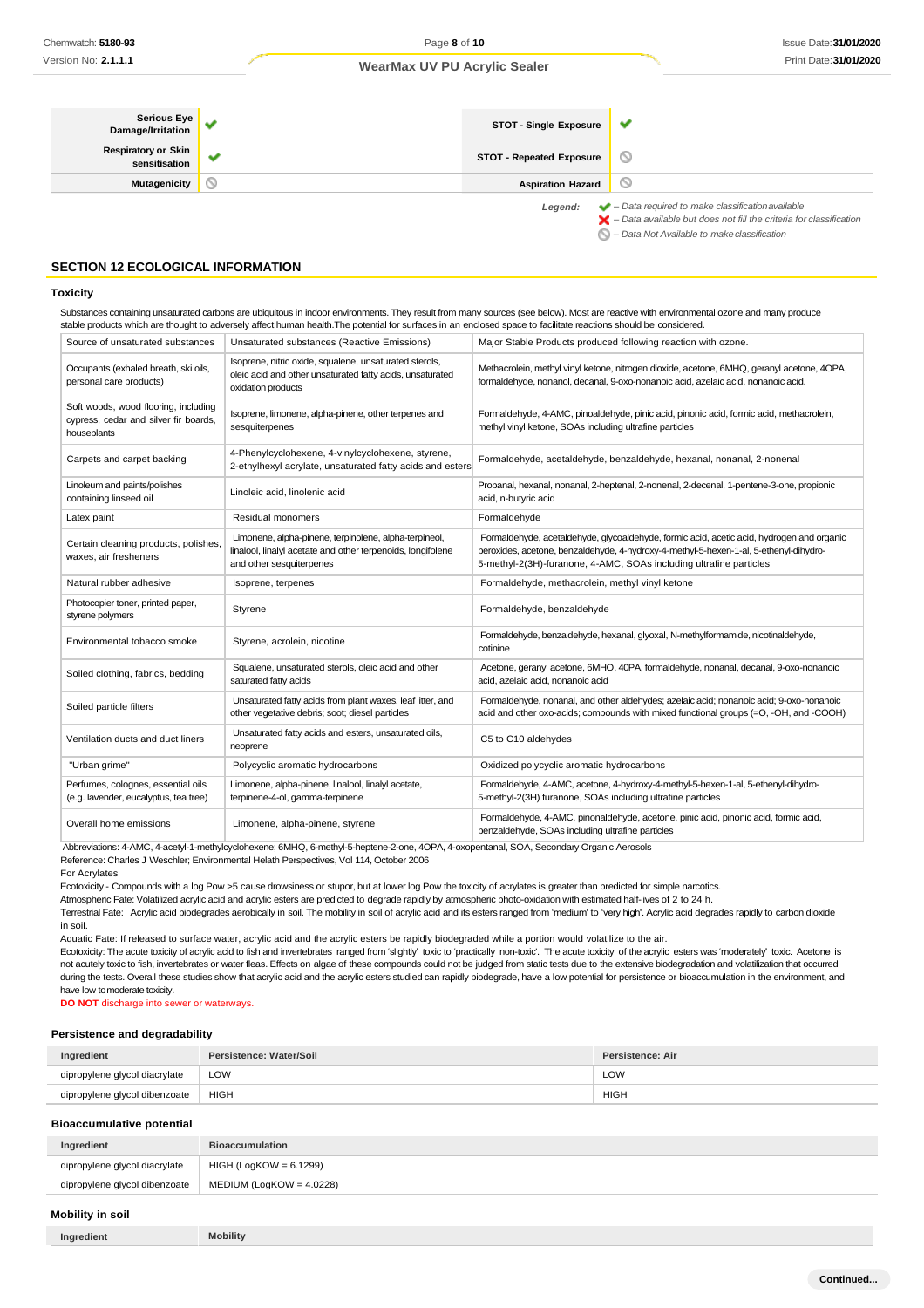| Serious Eye<br>Damage/Irritation            |     | STOT - Single Exposure          | v                                                                                                                                                                  |
|---------------------------------------------|-----|---------------------------------|--------------------------------------------------------------------------------------------------------------------------------------------------------------------|
| <b>Respiratory or Skin</b><br>sensitisation | -44 | <b>STOT - Repeated Exposure</b> |                                                                                                                                                                    |
| Mutagenicity                                |     | <b>Aspiration Hazard</b>        |                                                                                                                                                                    |
|                                             |     | Legend:                         | $\blacktriangleright$ - Data required to make classification available<br>$\blacktriangleright$ - Data available but does not fill the criteria for classification |

*– Data Not Available to makeclassification*

#### **SECTION 12 ECOLOGICAL INFORMATION**

#### **Toxicity**

Substances containing unsaturated carbons are ubiquitous in indoor environments. They result from many sources (see below). Most are reactive with environmental ozone and many produce stable products which are thought to adversely affect human health.The potential for surfaces in an enclosed space to facilitate reactions should be considered.

| Source of unsaturated substances                                                             | Unsaturated substances (Reactive Emissions)                                                                                                      | Major Stable Products produced following reaction with ozone.                                                                                                                                                                                            |
|----------------------------------------------------------------------------------------------|--------------------------------------------------------------------------------------------------------------------------------------------------|----------------------------------------------------------------------------------------------------------------------------------------------------------------------------------------------------------------------------------------------------------|
| Occupants (exhaled breath, ski oils,<br>personal care products)                              | Isoprene, nitric oxide, squalene, unsaturated sterols,<br>oleic acid and other unsaturated fatty acids, unsaturated<br>oxidation products        | Methacrolein, methyl vinyl ketone, nitrogen dioxide, acetone, 6MHQ, geranyl acetone, 4OPA,<br>formaldehyde, nonanol, decanal, 9-oxo-nonanoic acid, azelaic acid, nonanoic acid.                                                                          |
| Soft woods, wood flooring, including<br>cypress, cedar and silver fir boards,<br>houseplants | Isoprene, limonene, alpha-pinene, other terpenes and<br>sesquiterpenes                                                                           | Formaldehyde, 4-AMC, pinoaldehyde, pinic acid, pinonic acid, formic acid, methacrolein,<br>methyl vinyl ketone, SOAs including ultrafine particles                                                                                                       |
| Carpets and carpet backing                                                                   | 4-Phenylcyclohexene, 4-vinylcyclohexene, styrene,<br>2-ethylhexyl acrylate, unsaturated fatty acids and esters                                   | Formaldehyde, acetaldehyde, benzaldehyde, hexanal, nonanal, 2-nonenal                                                                                                                                                                                    |
| Linoleum and paints/polishes<br>containing linseed oil                                       | Linoleic acid, linolenic acid                                                                                                                    | Propanal, hexanal, nonanal, 2-heptenal, 2-nonenal, 2-decenal, 1-pentene-3-one, propionic<br>acid, n-butyric acid                                                                                                                                         |
| Latex paint                                                                                  | Residual monomers                                                                                                                                | Formaldehyde                                                                                                                                                                                                                                             |
| Certain cleaning products, polishes.<br>waxes, air fresheners                                | Limonene, alpha-pinene, terpinolene, alpha-terpineol,<br>linalool, linalyl acetate and other terpenoids, longifolene<br>and other sesquiterpenes | Formaldehyde, acetaldehyde, glycoaldehyde, formic acid, acetic acid, hydrogen and organic<br>peroxides, acetone, benzaldehyde, 4-hydroxy-4-methyl-5-hexen-1-al, 5-ethenyl-dihydro-<br>5-methyl-2(3H)-furanone, 4-AMC, SOAs including ultrafine particles |
| Natural rubber adhesive                                                                      | Isoprene, terpenes                                                                                                                               | Formaldehyde, methacrolein, methyl vinyl ketone                                                                                                                                                                                                          |
| Photocopier toner, printed paper,<br>styrene polymers                                        | Styrene                                                                                                                                          | Formaldehyde, benzaldehyde                                                                                                                                                                                                                               |
| Environmental tobacco smoke                                                                  | Styrene, acrolein, nicotine                                                                                                                      | Formaldehyde, benzaldehyde, hexanal, glyoxal, N-methylformamide, nicotinaldehyde,<br>cotinine                                                                                                                                                            |
| Soiled clothing, fabrics, bedding                                                            | Squalene, unsaturated sterols, oleic acid and other<br>saturated fatty acids                                                                     | Acetone, geranyl acetone, 6MHO, 40PA, formaldehyde, nonanal, decanal, 9-oxo-nonanoic<br>acid, azelaic acid, nonanoic acid                                                                                                                                |
| Soiled particle filters                                                                      | Unsaturated fatty acids from plant waxes, leaf litter, and<br>other vegetative debris; soot; diesel particles                                    | Formaldehyde, nonanal, and other aldehydes; azelaic acid; nonanoic acid; 9-oxo-nonanoic<br>acid and other oxo-acids; compounds with mixed functional groups (=O, -OH, and -COOH)                                                                         |
| Ventilation ducts and duct liners                                                            | Unsaturated fatty acids and esters, unsaturated oils,<br>neoprene                                                                                | C5 to C10 aldehydes                                                                                                                                                                                                                                      |
| "Urban grime"                                                                                | Polycyclic aromatic hydrocarbons                                                                                                                 | Oxidized polycyclic aromatic hydrocarbons                                                                                                                                                                                                                |
| Perfumes, colognes, essential oils<br>(e.g. lavender, eucalyptus, tea tree)                  | Limonene, alpha-pinene, linalool, linalyl acetate,<br>terpinene-4-ol, gamma-terpinene                                                            | Formaldehyde, 4-AMC, acetone, 4-hydroxy-4-methyl-5-hexen-1-al, 5-ethenyl-dihydro-<br>5-methyl-2(3H) furanone, SOAs including ultrafine particles                                                                                                         |
| Overall home emissions                                                                       | Limonene, alpha-pinene, styrene                                                                                                                  | Formaldehyde, 4-AMC, pinonaldehyde, acetone, pinic acid, pinonic acid, formic acid,<br>benzaldehyde, SOAs including ultrafine particles                                                                                                                  |

Abbreviations: 4-AMC, 4-acetyl-1-methylcyclohexene; 6MHQ, 6-methyl-5-heptene-2-one, 4OPA, 4-oxopentanal, SOA, Secondary Organic Aerosols

Reference: Charles J Weschler; Environmental Helath Perspectives, Vol 114, October 2006

For Acrylates

Ecotoxicity - Compounds with a log Pow >5 cause drowsiness or stupor, but at lower log Pow the toxicity of acrylates is greater than predicted for simple narcotics.

Atmospheric Fate: Volatilized acrylic acid and acrylic esters are predicted to degrade rapidly by atmospheric photo-oxidation with estimated half-lives of 2 to 24 h.

Terrestrial Fate: Acrylic acid biodegrades aerobically in soil. The mobility in soil of acrylic acid and its esters ranged from 'medium' to 'very high'. Acrylic acid degrades rapidly to carbon dioxide in soil.

Aquatic Fate: If released to surface water, acrylic acid and the acrylic esters be rapidly biodegraded while a portion would volatilize to the air.

Ecotoxicity: The acute toxicity of acrylic acid to fish and invertebrates ranged from 'slightly' toxic to 'practically non-toxic'. The acute toxicity of the acrylic esters was 'moderately' toxic. Acetone is not acutely toxic to fish, invertebrates or water fleas. Effects on algae of these compounds could not be judged from static tests due to the extensive biodegradation and volatilization that occurred during the tests. Overall these studies show that acrylic acid and the acrylic esters studied can rapidly biodegrade, have a low potential for persistence or bioaccumulation in the environment, and have low tomoderate toxicity.

**DO NOT** discharge into sewer or waterways.

#### **Persistence and degradability**

| Ingredient                    | Persistence: Water/Soil | Persistence: Air |
|-------------------------------|-------------------------|------------------|
| dipropylene glycol diacrylate | LOW                     | LOW              |
| dipropylene glycol dibenzoate | <b>HIGH</b>             | <b>HIGH</b>      |

#### **Bioaccumulative potential**

| Ingredient                    | <b>Bioaccumulation</b>      |
|-------------------------------|-----------------------------|
| dipropylene glycol diacrylate | HIGH (LogKOW = 6.1299)      |
| dipropylene glycol dibenzoate | MEDIUM (LogKOW = $4.0228$ ) |

### **Mobility in soil**

| $\sim$<br>Ingredient | <b>Mobility</b> |
|----------------------|-----------------|
|----------------------|-----------------|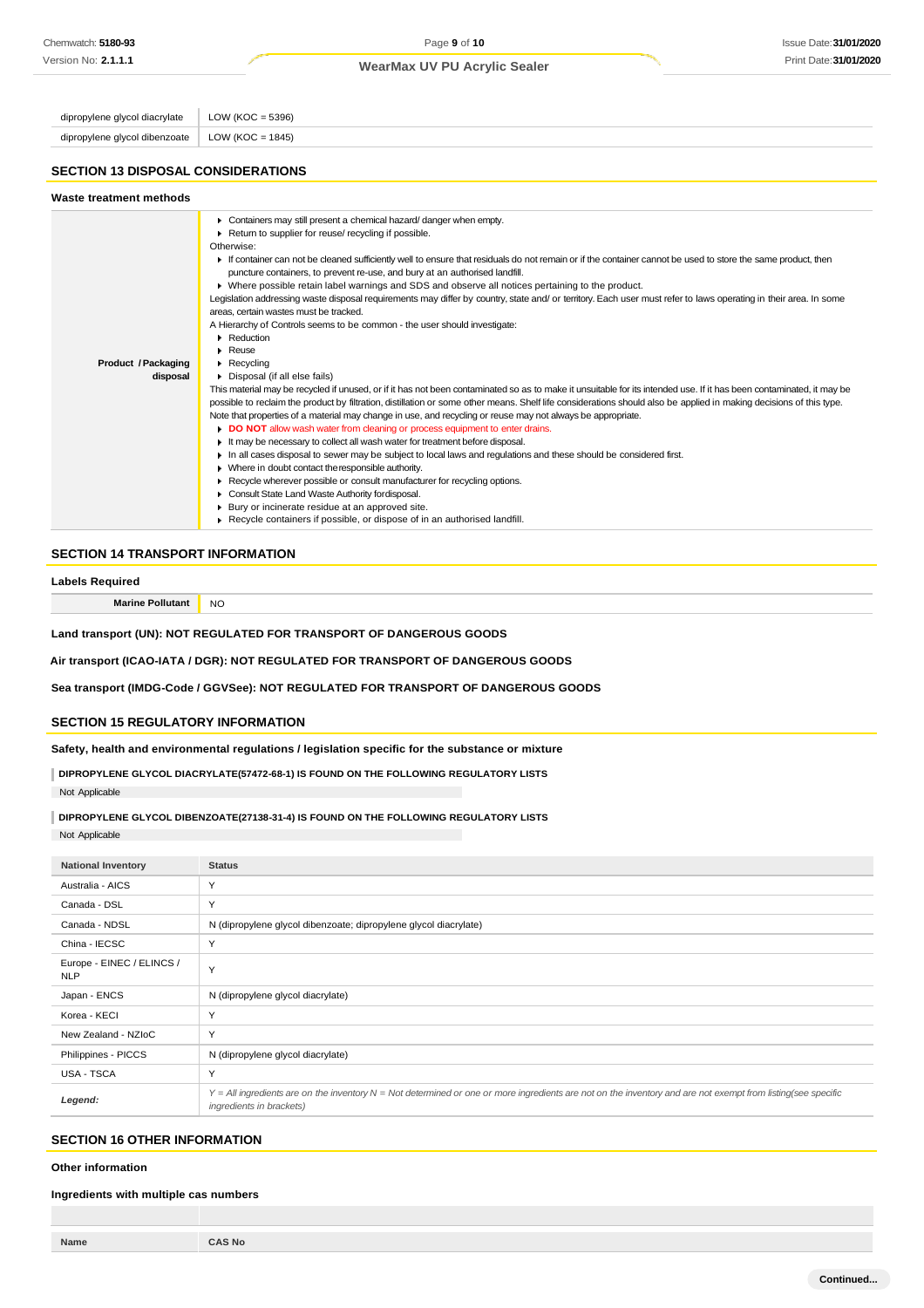dipropylene glycol diacrylate  $\vert$  LOW (KOC = 5396) dipropylene glycol dibenzoate | LOW (KOC = 1845)

#### **SECTION 13 DISPOSAL CONSIDERATIONS**

#### **SECTION 14 TRANSPORT INFORMATION**

#### **Labels Required**

**Marine Pollutant** NO

**Land transport (UN): NOT REGULATED FOR TRANSPORT OF DANGEROUS GOODS**

**Air transport (ICAO-IATA / DGR): NOT REGULATED FOR TRANSPORT OF DANGEROUS GOODS**

**Sea transport (IMDG-Code / GGVSee): NOT REGULATED FOR TRANSPORT OF DANGEROUS GOODS**

### **SECTION 15 REGULATORY INFORMATION**

**Safety, health and environmental regulations / legislation specific for the substance or mixture**

**DIPROPYLENE GLYCOL DIACRYLATE(57472-68-1) IS FOUND ON THE FOLLOWING REGULATORY LISTS** Not Applicable

**DIPROPYLENE GLYCOL DIBENZOATE(27138-31-4) IS FOUND ON THE FOLLOWING REGULATORY LISTS**

Not Applicable

| <b>National Inventory</b>               | <b>Status</b>                                                                                                                                                                            |
|-----------------------------------------|------------------------------------------------------------------------------------------------------------------------------------------------------------------------------------------|
| Australia - AICS                        | Y                                                                                                                                                                                        |
| Canada - DSL                            | Y                                                                                                                                                                                        |
| Canada - NDSL                           | N (dipropylene glycol dibenzoate; dipropylene glycol diacrylate)                                                                                                                         |
| China - IECSC                           | Y                                                                                                                                                                                        |
| Europe - EINEC / ELINCS /<br><b>NLP</b> | Y                                                                                                                                                                                        |
| Japan - ENCS                            | N (dipropylene glycol diacrylate)                                                                                                                                                        |
| Korea - KECI                            | Y                                                                                                                                                                                        |
| New Zealand - NZIoC                     | Y                                                                                                                                                                                        |
| Philippines - PICCS                     | N (dipropylene glycol diacrylate)                                                                                                                                                        |
| USA - TSCA                              | Y                                                                                                                                                                                        |
| Legend:                                 | Y = All ingredients are on the inventory N = Not determined or one or more ingredients are not on the inventory and are not exempt from listing(see specific<br>ingredients in brackets) |

# **SECTION 16 OTHER INFORMATION**

**Other information**

#### **Ingredients with multiple cas numbers**

| Name | <b>S</b> No<br>$\mathbf{v}$ |
|------|-----------------------------|